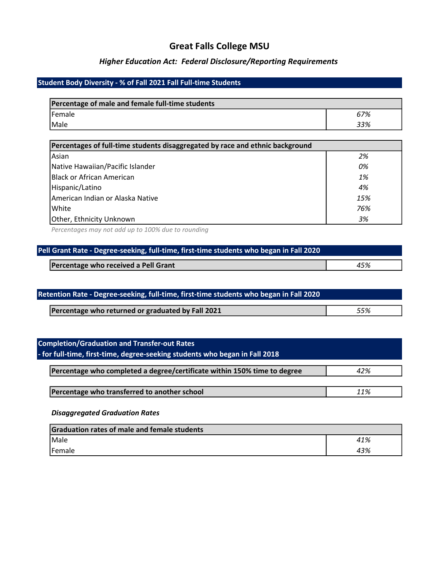## Great Falls College MSU

## Higher Education Act: Federal Disclosure/Reporting Requirements

## Student Body Diversity - % of Fall 2021 Fall Full-time Students

| Percentage of male and female full-time students |     |
|--------------------------------------------------|-----|
| Female                                           | 67% |
| <i>Male</i>                                      | 33% |

| Percentages of full-time students disaggregated by race and ethnic background |     |
|-------------------------------------------------------------------------------|-----|
| Asian                                                                         | 2%  |
| Native Hawaiian/Pacific Islander                                              | 0%  |
| lBlack or African American                                                    | 1%  |
| Hispanic/Latino                                                               | 4%  |
| lAmerican Indian or Alaska Native                                             | 15% |
| White                                                                         | 76% |
| Other, Ethnicity Unknown                                                      | 3%  |

Percentages may not add up to 100% due to rounding

| Pell Grant Rate - Degree-seeking, full-time, first-time students who began in Fall 2020 |     |
|-----------------------------------------------------------------------------------------|-----|
| Percentage who received a Pell Grant                                                    | 45% |

| Retention Rate - Degree-seeking, full-time, first-time students who began in Fall 2020 |  |
|----------------------------------------------------------------------------------------|--|
| Percentage who returned or graduated by Fall 2021<br>55%                               |  |

| <b>Completion/Graduation and Transfer-out Rates</b>                         |     |
|-----------------------------------------------------------------------------|-----|
| - for full-time, first-time, degree-seeking students who began in Fall 2018 |     |
| Percentage who completed a degree/certificate within 150% time to degree    | 42% |
|                                                                             |     |
| Percentage who transferred to another school                                | 11% |
| <b>Disaggregated Graduation Rates</b>                                       |     |

Graduation rates of male and female students Male  $41\%$ Female 23%